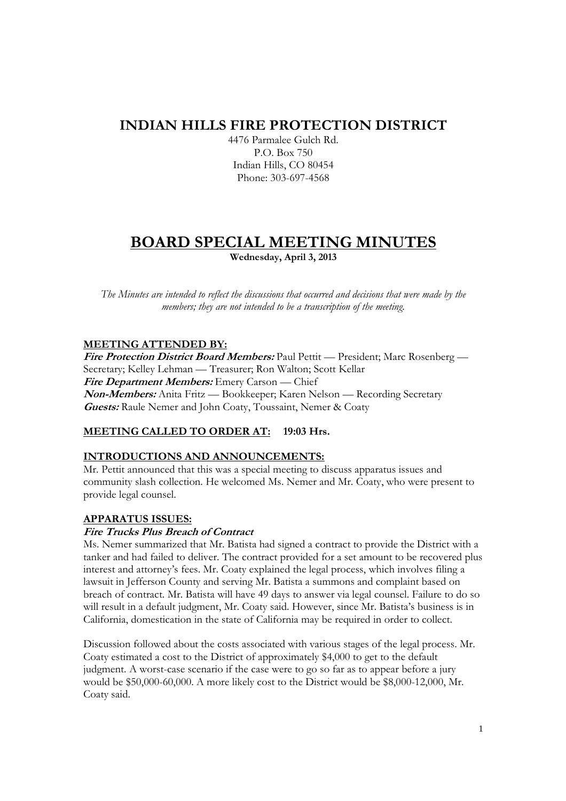# **INDIAN HILLS FIRE PROTECTION DISTRICT**

4476 Parmalee Gulch Rd. P.O. Box 750 Indian Hills, CO 80454 Phone: 303-697-4568

# **BOARD SPECIAL MEETING MINUTES Wednesday, April 3, 2013**

*The Minutes are intended to reflect the discussions that occurred and decisions that were made by the members; they are not intended to be a transcription of the meeting.* 

### **MEETING ATTENDED BY:**

**Fire Protection District Board Members:** Paul Pettit — President; Marc Rosenberg — Secretary; Kelley Lehman — Treasurer; Ron Walton; Scott Kellar **Fire Department Members:** Emery Carson — Chief **Non-Members:** Anita Fritz — Bookkeeper; Karen Nelson — Recording Secretary **Guests:** Raule Nemer and John Coaty, Toussaint, Nemer & Coaty

## **MEETING CALLED TO ORDER AT: 19:03 Hrs.**

### **INTRODUCTIONS AND ANNOUNCEMENTS:**

Mr. Pettit announced that this was a special meeting to discuss apparatus issues and community slash collection. He welcomed Ms. Nemer and Mr. Coaty, who were present to provide legal counsel.

### **APPARATUS ISSUES:**

### **Fire Trucks Plus Breach of Contract**

Ms. Nemer summarized that Mr. Batista had signed a contract to provide the District with a tanker and had failed to deliver. The contract provided for a set amount to be recovered plus interest and attorney's fees. Mr. Coaty explained the legal process, which involves filing a lawsuit in Jefferson County and serving Mr. Batista a summons and complaint based on breach of contract. Mr. Batista will have 49 days to answer via legal counsel. Failure to do so will result in a default judgment, Mr. Coaty said. However, since Mr. Batista's business is in California, domestication in the state of California may be required in order to collect.

Discussion followed about the costs associated with various stages of the legal process. Mr. Coaty estimated a cost to the District of approximately \$4,000 to get to the default judgment. A worst-case scenario if the case were to go so far as to appear before a jury would be \$50,000-60,000. A more likely cost to the District would be \$8,000-12,000, Mr. Coaty said.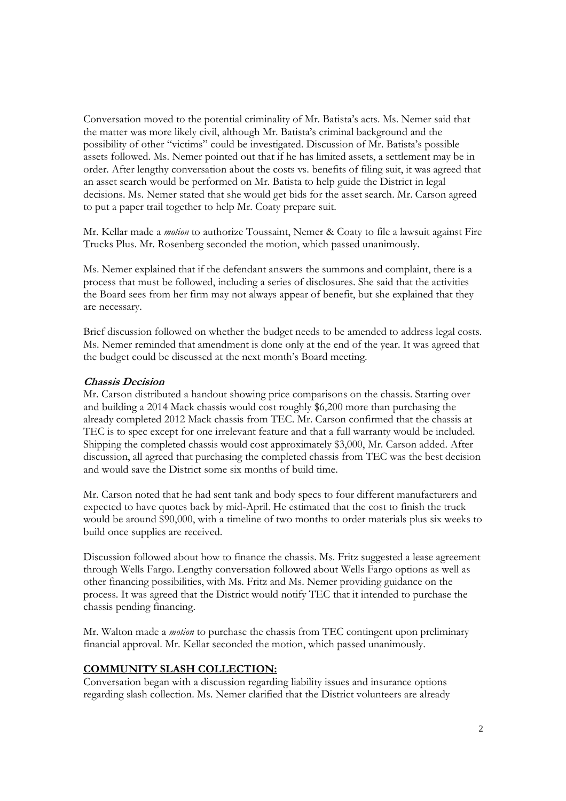Conversation moved to the potential criminality of Mr. Batista's acts. Ms. Nemer said that the matter was more likely civil, although Mr. Batista's criminal background and the possibility of other "victims" could be investigated. Discussion of Mr. Batista's possible assets followed. Ms. Nemer pointed out that if he has limited assets, a settlement may be in order. After lengthy conversation about the costs vs. benefits of filing suit, it was agreed that an asset search would be performed on Mr. Batista to help guide the District in legal decisions. Ms. Nemer stated that she would get bids for the asset search. Mr. Carson agreed to put a paper trail together to help Mr. Coaty prepare suit.

Mr. Kellar made a *motion* to authorize Toussaint, Nemer & Coaty to file a lawsuit against Fire Trucks Plus. Mr. Rosenberg seconded the motion, which passed unanimously.

Ms. Nemer explained that if the defendant answers the summons and complaint, there is a process that must be followed, including a series of disclosures. She said that the activities the Board sees from her firm may not always appear of benefit, but she explained that they are necessary.

Brief discussion followed on whether the budget needs to be amended to address legal costs. Ms. Nemer reminded that amendment is done only at the end of the year. It was agreed that the budget could be discussed at the next month's Board meeting.

#### **Chassis Decision**

Mr. Carson distributed a handout showing price comparisons on the chassis. Starting over and building a 2014 Mack chassis would cost roughly \$6,200 more than purchasing the already completed 2012 Mack chassis from TEC. Mr. Carson confirmed that the chassis at TEC is to spec except for one irrelevant feature and that a full warranty would be included. Shipping the completed chassis would cost approximately \$3,000, Mr. Carson added. After discussion, all agreed that purchasing the completed chassis from TEC was the best decision and would save the District some six months of build time.

Mr. Carson noted that he had sent tank and body specs to four different manufacturers and expected to have quotes back by mid-April. He estimated that the cost to finish the truck would be around \$90,000, with a timeline of two months to order materials plus six weeks to build once supplies are received.

Discussion followed about how to finance the chassis. Ms. Fritz suggested a lease agreement through Wells Fargo. Lengthy conversation followed about Wells Fargo options as well as other financing possibilities, with Ms. Fritz and Ms. Nemer providing guidance on the process. It was agreed that the District would notify TEC that it intended to purchase the chassis pending financing.

Mr. Walton made a *motion* to purchase the chassis from TEC contingent upon preliminary financial approval. Mr. Kellar seconded the motion, which passed unanimously.

#### **COMMUNITY SLASH COLLECTION:**

Conversation began with a discussion regarding liability issues and insurance options regarding slash collection. Ms. Nemer clarified that the District volunteers are already